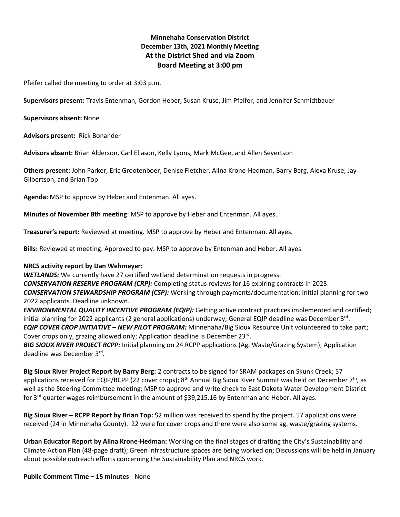# **Minnehaha Conservation District December 13th, 2021 Monthly Meeting At the District Shed and via Zoom Board Meeting at 3:00 pm**

Pfeifer called the meeting to order at 3:03 p.m.

**Supervisors present:** Travis Entenman, Gordon Heber, Susan Kruse, Jim Pfeifer, and Jennifer Schmidtbauer

**Supervisors absent:** None

**Advisors present:** Rick Bonander

**Advisors absent:** Brian Alderson, Carl Eliason, Kelly Lyons, Mark McGee, and Allen Severtson

**Others present:** John Parker, Eric Grootenboer, Denise Fletcher, Alina Krone-Hedman, Barry Berg, Alexa Kruse, Jay Gilbertson, and Brian Top

**Agenda:** MSP to approve by Heber and Entenman. All ayes.

**Minutes of November 8th meeting**: MSP to approve by Heber and Entenman. All ayes.

**Treasurer's report:** Reviewed at meeting. MSP to approve by Heber and Entenman. All ayes.

**Bills:** Reviewed at meeting. Approved to pay. MSP to approve by Entenman and Heber. All ayes.

# **NRCS activity report by Dan Wehmeyer:**

*WETLANDS:* We currently have 27 certified wetland determination requests in progress.

*CONSERVATION RESERVE PROGRAM (CRP):* Completing status reviews for 16 expiring contracts in 2023. *CONSERVATION STEWARDSHIP PROGRAM (CSP):* Working through payments/documentation; Initial planning for two 2022 applicants. Deadline unknown.

*ENVIRONMENTAL QUALITY INCENTIVE PROGRAM (EQIP):* Getting active contract practices implemented and certified; initial planning for 2022 applicants (2 general applications) underway; General EQIP deadline was December 3<sup>rd</sup>.

*EQIP COVER CROP INITIATIVE – NEW PILOT PROGRAM:* Minnehaha/Big Sioux Resource Unit volunteered to take part; Cover crops only, grazing allowed only; Application deadline is December 23rd.

*BIG SIOUX RIVER PROJECT RCPP:* Initial planning on 24 RCPP applications (Ag. Waste/Grazing System); Application deadline was December 3<sup>rd</sup>.

**Big Sioux River Project Report by Barry Berg:** 2 contracts to be signed for SRAM packages on Skunk Creek; 57 applications received for EQIP/RCPP (22 cover crops); 8<sup>th</sup> Annual Big Sioux River Summit was held on December 7<sup>th</sup>, as well as the Steering Committee meeting; MSP to approve and write check to East Dakota Water Development District for 3rd quarter wages reimbursement in the amount of \$39,215.16 by Entenman and Heber. All ayes.

**Big Sioux River – RCPP Report by Brian Top:** \$2 million was received to spend by the project. 57 applications were received (24 in Minnehaha County). 22 were for cover crops and there were also some ag. waste/grazing systems.

**Urban Educator Report by Alina Krone-Hedman:** Working on the final stages of drafting the City's Sustainability and Climate Action Plan (48-page draft); Green infrastructure spaces are being worked on; Discussions will be held in January about possible outreach efforts concerning the Sustainability Plan and NRCS work.

**Public Comment Time – 15 minutes** - None